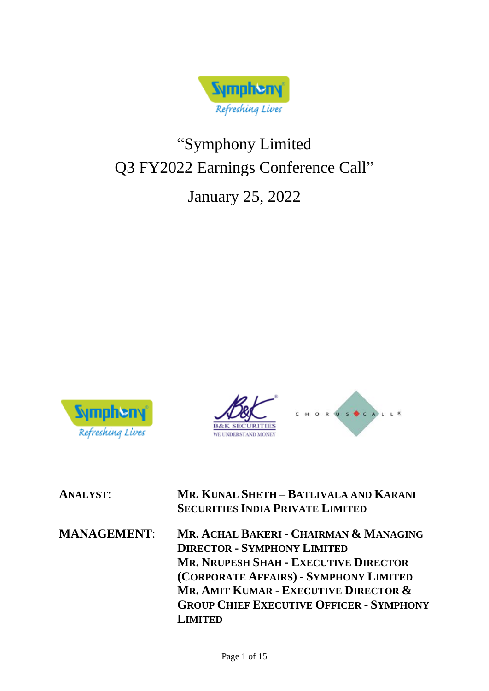

# "Symphony Limited Q3 FY2022 Earnings Conference Call"

## January 25, 2022







**ANALYST**: **MR. KUNAL SHETH – BATLIVALA AND KARANI SECURITIES INDIA PRIVATE LIMITED**

**MANAGEMENT**: **MR. ACHAL BAKERI - CHAIRMAN & MANAGING DIRECTOR - SYMPHONY LIMITED MR. NRUPESH SHAH - EXECUTIVE DIRECTOR (CORPORATE AFFAIRS) - SYMPHONY LIMITED MR. AMIT KUMAR - EXECUTIVE DIRECTOR & GROUP CHIEF EXECUTIVE OFFICER - SYMPHONY LIMITED**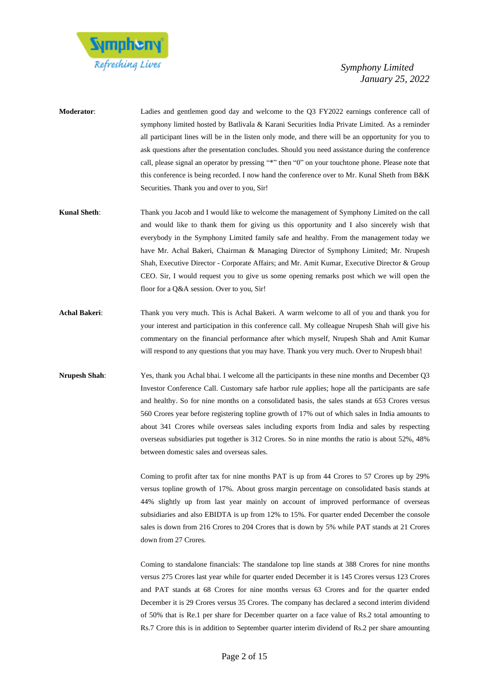

- **Moderator**: Ladies and gentlemen good day and welcome to the Q3 FY2022 earnings conference call of symphony limited hosted by Batlivala & Karani Securities India Private Limited. As a reminder all participant lines will be in the listen only mode, and there will be an opportunity for you to ask questions after the presentation concludes. Should you need assistance during the conference call, please signal an operator by pressing "\*" then "0" on your touchtone phone. Please note that this conference is being recorded. I now hand the conference over to Mr. Kunal Sheth from B&K Securities. Thank you and over to you, Sir!
- **Kunal Sheth**: Thank you Jacob and I would like to welcome the management of Symphony Limited on the call and would like to thank them for giving us this opportunity and I also sincerely wish that everybody in the Symphony Limited family safe and healthy. From the management today we have Mr. Achal Bakeri, Chairman & Managing Director of Symphony Limited; Mr. Nrupesh Shah, Executive Director - Corporate Affairs; and Mr. Amit Kumar, Executive Director & Group CEO. Sir, I would request you to give us some opening remarks post which we will open the floor for a Q&A session. Over to you, Sir!
- **Achal Bakeri**: Thank you very much. This is Achal Bakeri. A warm welcome to all of you and thank you for your interest and participation in this conference call. My colleague Nrupesh Shah will give his commentary on the financial performance after which myself, Nrupesh Shah and Amit Kumar will respond to any questions that you may have. Thank you very much. Over to Nrupesh bhai!
- **Nrupesh Shah:** Yes, thank you Achal bhai. I welcome all the participants in these nine months and December Q3 Investor Conference Call. Customary safe harbor rule applies; hope all the participants are safe and healthy. So for nine months on a consolidated basis, the sales stands at 653 Crores versus 560 Crores year before registering topline growth of 17% out of which sales in India amounts to about 341 Crores while overseas sales including exports from India and sales by respecting overseas subsidiaries put together is 312 Crores. So in nine months the ratio is about 52%, 48% between domestic sales and overseas sales.

Coming to profit after tax for nine months PAT is up from 44 Crores to 57 Crores up by 29% versus topline growth of 17%. About gross margin percentage on consolidated basis stands at 44% slightly up from last year mainly on account of improved performance of overseas subsidiaries and also EBIDTA is up from 12% to 15%. For quarter ended December the console sales is down from 216 Crores to 204 Crores that is down by 5% while PAT stands at 21 Crores down from 27 Crores.

Coming to standalone financials: The standalone top line stands at 388 Crores for nine months versus 275 Crores last year while for quarter ended December it is 145 Crores versus 123 Crores and PAT stands at 68 Crores for nine months versus 63 Crores and for the quarter ended December it is 29 Crores versus 35 Crores. The company has declared a second interim dividend of 50% that is Re.1 per share for December quarter on a face value of Rs.2 total amounting to Rs.7 Crore this is in addition to September quarter interim dividend of Rs.2 per share amounting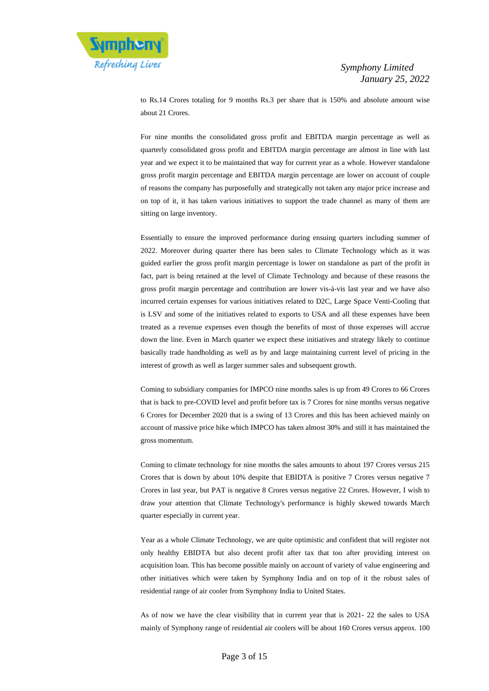

to Rs.14 Crores totaling for 9 months Rs.3 per share that is 150% and absolute amount wise about 21 Crores.

For nine months the consolidated gross profit and EBITDA margin percentage as well as quarterly consolidated gross profit and EBITDA margin percentage are almost in line with last year and we expect it to be maintained that way for current year as a whole. However standalone gross profit margin percentage and EBITDA margin percentage are lower on account of couple of reasons the company has purposefully and strategically not taken any major price increase and on top of it, it has taken various initiatives to support the trade channel as many of them are sitting on large inventory.

Essentially to ensure the improved performance during ensuing quarters including summer of 2022. Moreover during quarter there has been sales to Climate Technology which as it was guided earlier the gross profit margin percentage is lower on standalone as part of the profit in fact, part is being retained at the level of Climate Technology and because of these reasons the gross profit margin percentage and contribution are lower vis-à-vis last year and we have also incurred certain expenses for various initiatives related to D2C, Large Space Venti-Cooling that is LSV and some of the initiatives related to exports to USA and all these expenses have been treated as a revenue expenses even though the benefits of most of those expenses will accrue down the line. Even in March quarter we expect these initiatives and strategy likely to continue basically trade handholding as well as by and large maintaining current level of pricing in the interest of growth as well as larger summer sales and subsequent growth.

Coming to subsidiary companies for IMPCO nine months sales is up from 49 Crores to 66 Crores that is back to pre-COVID level and profit before tax is 7 Crores for nine months versus negative 6 Crores for December 2020 that is a swing of 13 Crores and this has been achieved mainly on account of massive price hike which IMPCO has taken almost 30% and still it has maintained the gross momentum.

Coming to climate technology for nine months the sales amounts to about 197 Crores versus 215 Crores that is down by about 10% despite that EBIDTA is positive 7 Crores versus negative 7 Crores in last year, but PAT is negative 8 Crores versus negative 22 Crores. However, I wish to draw your attention that Climate Technology's performance is highly skewed towards March quarter especially in current year.

Year as a whole Climate Technology, we are quite optimistic and confident that will register not only healthy EBIDTA but also decent profit after tax that too after providing interest on acquisition loan. This has become possible mainly on account of variety of value engineering and other initiatives which were taken by Symphony India and on top of it the robust sales of residential range of air cooler from Symphony India to United States.

As of now we have the clear visibility that in current year that is 2021- 22 the sales to USA mainly of Symphony range of residential air coolers will be about 160 Crores versus approx. 100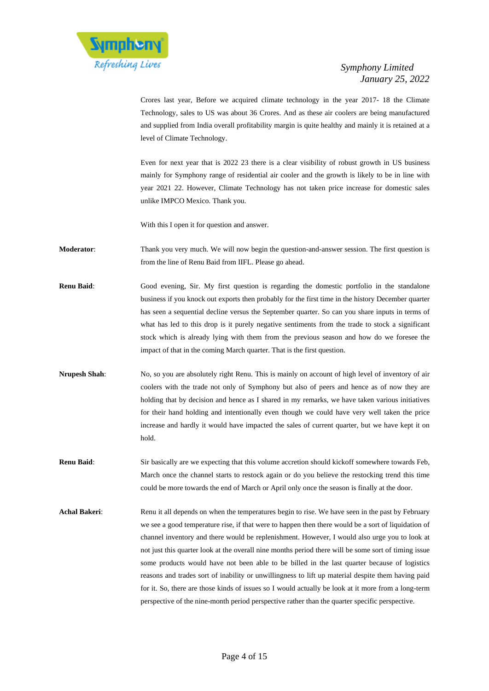

Crores last year, Before we acquired climate technology in the year 2017- 18 the Climate Technology, sales to US was about 36 Crores. And as these air coolers are being manufactured and supplied from India overall profitability margin is quite healthy and mainly it is retained at a level of Climate Technology.

Even for next year that is 2022 23 there is a clear visibility of robust growth in US business mainly for Symphony range of residential air cooler and the growth is likely to be in line with year 2021 22. However, Climate Technology has not taken price increase for domestic sales unlike IMPCO Mexico. Thank you.

With this I open it for question and answer.

- **Moderator**: Thank you very much. We will now begin the question-and-answer session. The first question is from the line of Renu Baid from IIFL. Please go ahead.
- **Renu Baid:** Good evening, Sir. My first question is regarding the domestic portfolio in the standalone business if you knock out exports then probably for the first time in the history December quarter has seen a sequential decline versus the September quarter. So can you share inputs in terms of what has led to this drop is it purely negative sentiments from the trade to stock a significant stock which is already lying with them from the previous season and how do we foresee the impact of that in the coming March quarter. That is the first question.
- **Nrupesh Shah**: No, so you are absolutely right Renu. This is mainly on account of high level of inventory of air coolers with the trade not only of Symphony but also of peers and hence as of now they are holding that by decision and hence as I shared in my remarks, we have taken various initiatives for their hand holding and intentionally even though we could have very well taken the price increase and hardly it would have impacted the sales of current quarter, but we have kept it on hold.
- **Renu Baid:** Sir basically are we expecting that this volume accretion should kickoff somewhere towards Feb, March once the channel starts to restock again or do you believe the restocking trend this time could be more towards the end of March or April only once the season is finally at the door.
- Achal Bakeri: Renu it all depends on when the temperatures begin to rise. We have seen in the past by February we see a good temperature rise, if that were to happen then there would be a sort of liquidation of channel inventory and there would be replenishment. However, I would also urge you to look at not just this quarter look at the overall nine months period there will be some sort of timing issue some products would have not been able to be billed in the last quarter because of logistics reasons and trades sort of inability or unwillingness to lift up material despite them having paid for it. So, there are those kinds of issues so I would actually be look at it more from a long-term perspective of the nine-month period perspective rather than the quarter specific perspective.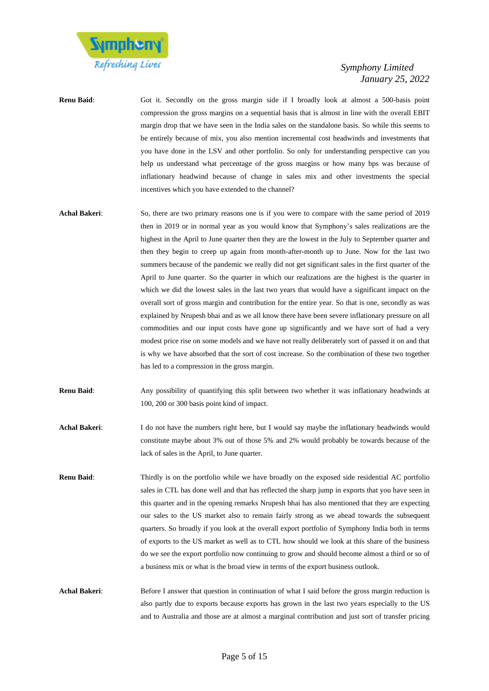

- **Renu Baid:** Got it. Secondly on the gross margin side if I broadly look at almost a 500-basis point compression the gross margins on a sequential basis that is almost in line with the overall EBIT margin drop that we have seen in the India sales on the standalone basis. So while this seems to be entirely because of mix, you also mention incremental cost headwinds and investments that you have done in the LSV and other portfolio. So only for understanding perspective can you help us understand what percentage of the gross margins or how many bps was because of inflationary headwind because of change in sales mix and other investments the special incentives which you have extended to the channel?
- **Achal Bakeri**: So, there are two primary reasons one is if you were to compare with the same period of 2019 then in 2019 or in normal year as you would know that Symphony's sales realizations are the highest in the April to June quarter then they are the lowest in the July to September quarter and then they begin to creep up again from month-after-month up to June. Now for the last two summers because of the pandemic we really did not get significant sales in the first quarter of the April to June quarter. So the quarter in which our realizations are the highest is the quarter in which we did the lowest sales in the last two years that would have a significant impact on the overall sort of gross margin and contribution for the entire year. So that is one, secondly as was explained by Nrupesh bhai and as we all know there have been severe inflationary pressure on all commodities and our input costs have gone up significantly and we have sort of had a very modest price rise on some models and we have not really deliberately sort of passed it on and that is why we have absorbed that the sort of cost increase. So the combination of these two together has led to a compression in the gross margin.
- **Renu Baid**: Any possibility of quantifying this split between two whether it was inflationary headwinds at 100, 200 or 300 basis point kind of impact.
- **Achal Bakeri**: I do not have the numbers right here, but I would say maybe the inflationary headwinds would constitute maybe about 3% out of those 5% and 2% would probably be towards because of the lack of sales in the April, to June quarter.
- **Renu Baid:** Thirdly is on the portfolio while we have broadly on the exposed side residential AC portfolio sales in CTL has done well and that has reflected the sharp jump in exports that you have seen in this quarter and in the opening remarks Nrupesh bhai has also mentioned that they are expecting our sales to the US market also to remain fairly strong as we ahead towards the subsequent quarters. So broadly if you look at the overall export portfolio of Symphony India both in terms of exports to the US market as well as to CTL how should we look at this share of the business do we see the export portfolio now continuing to grow and should become almost a third or so of a business mix or what is the broad view in terms of the export business outlook.
- **Achal Bakeri:** Before I answer that question in continuation of what I said before the gross margin reduction is also partly due to exports because exports has grown in the last two years especially to the US and to Australia and those are at almost a marginal contribution and just sort of transfer pricing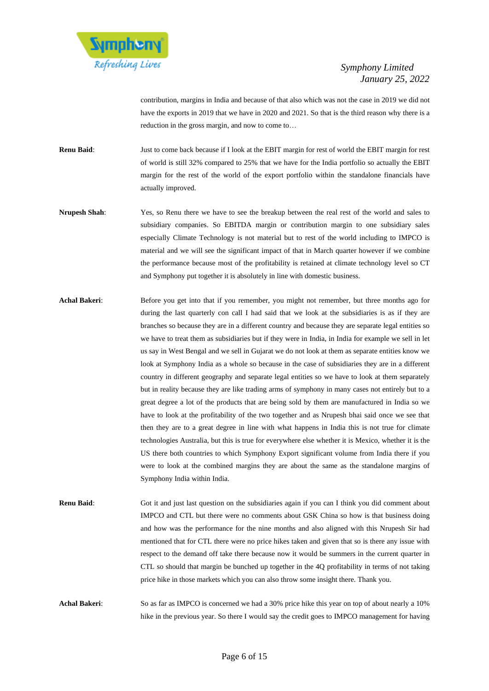

contribution, margins in India and because of that also which was not the case in 2019 we did not have the exports in 2019 that we have in 2020 and 2021. So that is the third reason why there is a reduction in the gross margin, and now to come to…

**Renu Baid**: Just to come back because if I look at the EBIT margin for rest of world the EBIT margin for rest of world is still 32% compared to 25% that we have for the India portfolio so actually the EBIT margin for the rest of the world of the export portfolio within the standalone financials have actually improved.

- **Nrupesh Shah**: Yes, so Renu there we have to see the breakup between the real rest of the world and sales to subsidiary companies. So EBITDA margin or contribution margin to one subsidiary sales especially Climate Technology is not material but to rest of the world including to IMPCO is material and we will see the significant impact of that in March quarter however if we combine the performance because most of the profitability is retained at climate technology level so CT and Symphony put together it is absolutely in line with domestic business.
- Achal Bakeri: Before you get into that if you remember, you might not remember, but three months ago for during the last quarterly con call I had said that we look at the subsidiaries is as if they are branches so because they are in a different country and because they are separate legal entities so we have to treat them as subsidiaries but if they were in India, in India for example we sell in let us say in West Bengal and we sell in Gujarat we do not look at them as separate entities know we look at Symphony India as a whole so because in the case of subsidiaries they are in a different country in different geography and separate legal entities so we have to look at them separately but in reality because they are like trading arms of symphony in many cases not entirely but to a great degree a lot of the products that are being sold by them are manufactured in India so we have to look at the profitability of the two together and as Nrupesh bhai said once we see that then they are to a great degree in line with what happens in India this is not true for climate technologies Australia, but this is true for everywhere else whether it is Mexico, whether it is the US there both countries to which Symphony Export significant volume from India there if you were to look at the combined margins they are about the same as the standalone margins of Symphony India within India.
- **Renu Baid:** Got it and just last question on the subsidiaries again if you can I think you did comment about IMPCO and CTL but there were no comments about GSK China so how is that business doing and how was the performance for the nine months and also aligned with this Nrupesh Sir had mentioned that for CTL there were no price hikes taken and given that so is there any issue with respect to the demand off take there because now it would be summers in the current quarter in CTL so should that margin be bunched up together in the 4Q profitability in terms of not taking price hike in those markets which you can also throw some insight there. Thank you.

**Achal Bakeri**: So as far as IMPCO is concerned we had a 30% price hike this year on top of about nearly a 10% hike in the previous year. So there I would say the credit goes to IMPCO management for having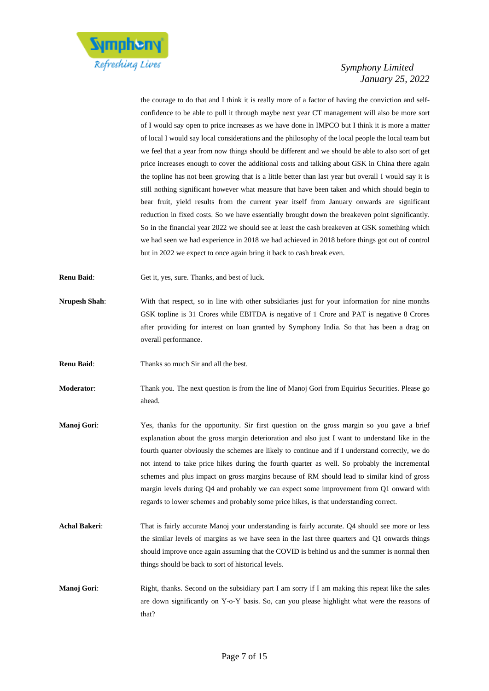

the courage to do that and I think it is really more of a factor of having the conviction and selfconfidence to be able to pull it through maybe next year CT management will also be more sort of I would say open to price increases as we have done in IMPCO but I think it is more a matter of local I would say local considerations and the philosophy of the local people the local team but we feel that a year from now things should be different and we should be able to also sort of get price increases enough to cover the additional costs and talking about GSK in China there again the topline has not been growing that is a little better than last year but overall I would say it is still nothing significant however what measure that have been taken and which should begin to bear fruit, yield results from the current year itself from January onwards are significant reduction in fixed costs. So we have essentially brought down the breakeven point significantly. So in the financial year 2022 we should see at least the cash breakeven at GSK something which we had seen we had experience in 2018 we had achieved in 2018 before things got out of control but in 2022 we expect to once again bring it back to cash break even.

- **Renu Baid:** Get it, yes, sure. Thanks, and best of luck.
- **Nrupesh Shah**: With that respect, so in line with other subsidiaries just for your information for nine months GSK topline is 31 Crores while EBITDA is negative of 1 Crore and PAT is negative 8 Crores after providing for interest on loan granted by Symphony India. So that has been a drag on overall performance.
- **Renu Baid:** Thanks so much Sir and all the best.
- **Moderator:** Thank you. The next question is from the line of Manoj Gori from Equirius Securities. Please go ahead.
- **Manoj Gori**: Yes, thanks for the opportunity. Sir first question on the gross margin so you gave a brief explanation about the gross margin deterioration and also just I want to understand like in the fourth quarter obviously the schemes are likely to continue and if I understand correctly, we do not intend to take price hikes during the fourth quarter as well. So probably the incremental schemes and plus impact on gross margins because of RM should lead to similar kind of gross margin levels during Q4 and probably we can expect some improvement from Q1 onward with regards to lower schemes and probably some price hikes, is that understanding correct.
- **Achal Bakeri**: That is fairly accurate Manoj your understanding is fairly accurate. Q4 should see more or less the similar levels of margins as we have seen in the last three quarters and Q1 onwards things should improve once again assuming that the COVID is behind us and the summer is normal then things should be back to sort of historical levels.
- **Manoj Gori:** Right, thanks. Second on the subsidiary part I am sorry if I am making this repeat like the sales are down significantly on Y-o-Y basis. So, can you please highlight what were the reasons of that?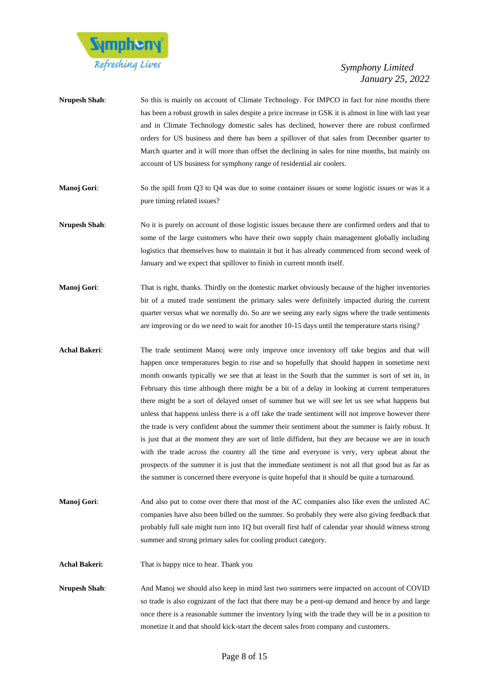

| <b>Nrupesh Shah:</b> | So this is mainly on account of Climate Technology. For IMPCO in fact for nine months there                                                                                                     |
|----------------------|-------------------------------------------------------------------------------------------------------------------------------------------------------------------------------------------------|
|                      | has been a robust growth in sales despite a price increase in GSK it is almost in line with last year                                                                                           |
|                      | and in Climate Technology domestic sales has declined, however there are robust confirmed                                                                                                       |
|                      | orders for US business and there has been a spillover of that sales from December quarter to                                                                                                    |
|                      | March quarter and it will more than offset the declining in sales for nine months, but mainly on                                                                                                |
|                      | account of US business for symphony range of residential air coolers.                                                                                                                           |
| Manoj Gori:          | So the spill from O3 to O4 was due to some container issues or some logistic issues or was it a<br>pure timing related issues?                                                                  |
| <b>Nrupesh Shah:</b> | No it is purely on account of those logistic issues because there are confirmed orders and that to<br>some of the large quatemers who have their own supply chain management alghelly including |

- some of the large customers who have their own supply chain management globally including logistics that themselves how to maintain it but it has already commenced from second week of January and we expect that spillover to finish in current month itself.
- **Manoj Gori:** That is right, thanks. Thirdly on the domestic market obviously because of the higher inventories bit of a muted trade sentiment the primary sales were definitely impacted during the current quarter versus what we normally do. So are we seeing any early signs where the trade sentiments are improving or do we need to wait for another 10-15 days until the temperature starts rising?
- **Achal Bakeri**: The trade sentiment Manoj were only improve once inventory off take begins and that will happen once temperatures begin to rise and so hopefully that should happen in sometime next month onwards typically we see that at least in the South that the summer is sort of set in, in February this time although there might be a bit of a delay in looking at current temperatures there might be a sort of delayed onset of summer but we will see let us see what happens but unless that happens unless there is a off take the trade sentiment will not improve however there the trade is very confident about the summer their sentiment about the summer is fairly robust. It is just that at the moment they are sort of little diffident, but they are because we are in touch with the trade across the country all the time and everyone is very, very upbeat about the prospects of the summer it is just that the immediate sentiment is not all that good but as far as the summer is concerned there everyone is quite hopeful that it should be quite a turnaround.
- **Manoj Gori:** And also put to come over there that most of the AC companies also like even the unlisted AC companies have also been billed on the summer. So probably they were also giving feedback that probably full sale might turn into 1Q but overall first half of calendar year should witness strong summer and strong primary sales for cooling product category.

**Achal Bakeri:** That is happy nice to hear. Thank you

**Nrupesh Shah**: And Manoj we should also keep in mind last two summers were impacted on account of COVID so trade is also cognizant of the fact that there may be a pent-up demand and hence by and large once there is a reasonable summer the inventory lying with the trade they will be in a position to monetize it and that should kick-start the decent sales from company and customers.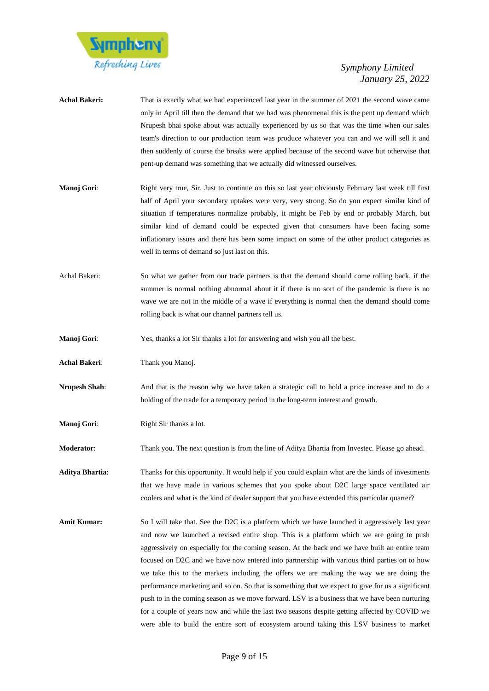

| <b>Achal Bakeri:</b>   | That is exactly what we had experienced last year in the summer of 2021 the second wave came<br>only in April till then the demand that we had was phenomenal this is the pent up demand which<br>Nrupesh bhai spoke about was actually experienced by us so that was the time when our sales<br>team's direction to our production team was produce whatever you can and we will sell it and<br>then suddenly of course the breaks were applied because of the second wave but otherwise that<br>pent-up demand was something that we actually did witnessed ourselves. |
|------------------------|--------------------------------------------------------------------------------------------------------------------------------------------------------------------------------------------------------------------------------------------------------------------------------------------------------------------------------------------------------------------------------------------------------------------------------------------------------------------------------------------------------------------------------------------------------------------------|
| Manoj Gori:            | Right very true, Sir. Just to continue on this so last year obviously February last week till first<br>half of April your secondary uptakes were very, very strong. So do you expect similar kind of<br>situation if temperatures normalize probably, it might be Feb by end or probably March, but<br>similar kind of demand could be expected given that consumers have been facing some<br>inflationary issues and there has been some impact on some of the other product categories as<br>well in terms of demand so just last on this.                             |
| Achal Bakeri:          | So what we gather from our trade partners is that the demand should come rolling back, if the<br>summer is normal nothing abnormal about it if there is no sort of the pandemic is there is no<br>wave we are not in the middle of a wave if everything is normal then the demand should come<br>rolling back is what our channel partners tell us.                                                                                                                                                                                                                      |
| <b>Manoj Gori:</b>     | Yes, thanks a lot Sir thanks a lot for answering and wish you all the best.                                                                                                                                                                                                                                                                                                                                                                                                                                                                                              |
| Achal Bakeri:          | Thank you Manoj.                                                                                                                                                                                                                                                                                                                                                                                                                                                                                                                                                         |
| <b>Nrupesh Shah:</b>   | And that is the reason why we have taken a strategic call to hold a price increase and to do a<br>holding of the trade for a temporary period in the long-term interest and growth.                                                                                                                                                                                                                                                                                                                                                                                      |
| Manoj Gori:            | Right Sir thanks a lot.                                                                                                                                                                                                                                                                                                                                                                                                                                                                                                                                                  |
| Moderator:             | Thank you. The next question is from the line of Aditya Bhartia from Investec. Please go ahead.                                                                                                                                                                                                                                                                                                                                                                                                                                                                          |
| <b>Aditya Bhartia:</b> | Thanks for this opportunity. It would help if you could explain what are the kinds of investments<br>that we have made in various schemes that you spoke about D2C large space ventilated air<br>coolers and what is the kind of dealer support that you have extended this particular quarter?                                                                                                                                                                                                                                                                          |
| <b>Amit Kumar:</b>     | So I will take that. See the D2C is a platform which we have launched it aggressively last year<br>and now we launched a revised entire shop. This is a platform which we are going to push<br>aggressively on especially for the coming season. At the back end we have built an entire team<br>focused on D2C and we have now entered into partnership with various third parties on to how                                                                                                                                                                            |

we take this to the markets including the offers we are making the way we are doing the performance marketing and so on. So that is something that we expect to give for us a significant push to in the coming season as we move forward. LSV is a business that we have been nurturing for a couple of years now and while the last two seasons despite getting affected by COVID we were able to build the entire sort of ecosystem around taking this LSV business to market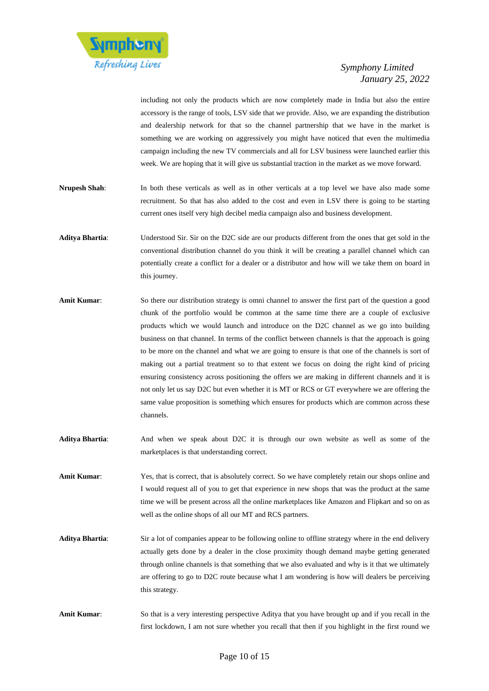

including not only the products which are now completely made in India but also the entire accessory is the range of tools, LSV side that we provide. Also, we are expanding the distribution and dealership network for that so the channel partnership that we have in the market is something we are working on aggressively you might have noticed that even the multimedia campaign including the new TV commercials and all for LSV business were launched earlier this week. We are hoping that it will give us substantial traction in the market as we move forward.

- **Nrupesh Shah**: In both these verticals as well as in other verticals at a top level we have also made some recruitment. So that has also added to the cost and even in LSV there is going to be starting current ones itself very high decibel media campaign also and business development.
- **Aditya Bhartia**: Understood Sir. Sir on the D2C side are our products different from the ones that get sold in the conventional distribution channel do you think it will be creating a parallel channel which can potentially create a conflict for a dealer or a distributor and how will we take them on board in this journey.
- **Amit Kumar**: So there our distribution strategy is omni channel to answer the first part of the question a good chunk of the portfolio would be common at the same time there are a couple of exclusive products which we would launch and introduce on the D2C channel as we go into building business on that channel. In terms of the conflict between channels is that the approach is going to be more on the channel and what we are going to ensure is that one of the channels is sort of making out a partial treatment so to that extent we focus on doing the right kind of pricing ensuring consistency across positioning the offers we are making in different channels and it is not only let us say D2C but even whether it is MT or RCS or GT everywhere we are offering the same value proposition is something which ensures for products which are common across these channels.
- **Aditya Bhartia**: And when we speak about D2C it is through our own website as well as some of the marketplaces is that understanding correct.
- Amit Kumar: Yes, that is correct, that is absolutely correct. So we have completely retain our shops online and I would request all of you to get that experience in new shops that was the product at the same time we will be present across all the online marketplaces like Amazon and Flipkart and so on as well as the online shops of all our MT and RCS partners.
- **Aditya Bhartia**: Sir a lot of companies appear to be following online to offline strategy where in the end delivery actually gets done by a dealer in the close proximity though demand maybe getting generated through online channels is that something that we also evaluated and why is it that we ultimately are offering to go to D2C route because what I am wondering is how will dealers be perceiving this strategy.
- **Amit Kumar**: So that is a very interesting perspective Aditya that you have brought up and if you recall in the first lockdown, I am not sure whether you recall that then if you highlight in the first round we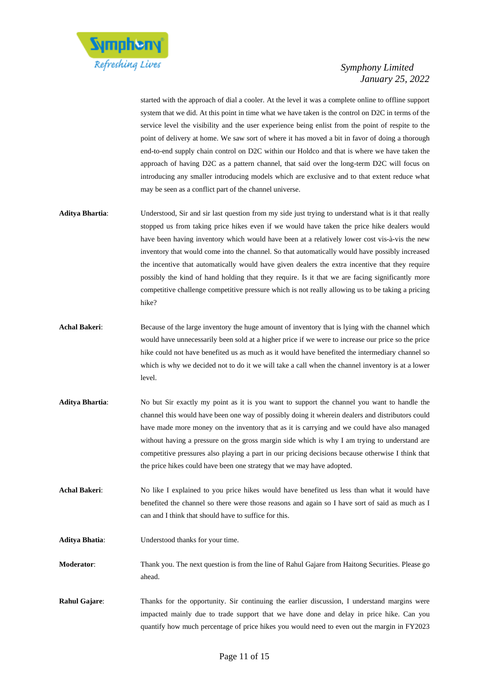

started with the approach of dial a cooler. At the level it was a complete online to offline support system that we did. At this point in time what we have taken is the control on D2C in terms of the service level the visibility and the user experience being enlist from the point of respite to the point of delivery at home. We saw sort of where it has moved a bit in favor of doing a thorough end-to-end supply chain control on D2C within our Holdco and that is where we have taken the approach of having D2C as a pattern channel, that said over the long-term D2C will focus on introducing any smaller introducing models which are exclusive and to that extent reduce what may be seen as a conflict part of the channel universe.

- **Aditya Bhartia**: Understood, Sir and sir last question from my side just trying to understand what is it that really stopped us from taking price hikes even if we would have taken the price hike dealers would have been having inventory which would have been at a relatively lower cost vis-à-vis the new inventory that would come into the channel. So that automatically would have possibly increased the incentive that automatically would have given dealers the extra incentive that they require possibly the kind of hand holding that they require. Is it that we are facing significantly more competitive challenge competitive pressure which is not really allowing us to be taking a pricing hike?
- **Achal Bakeri:** Because of the large inventory the huge amount of inventory that is lying with the channel which would have unnecessarily been sold at a higher price if we were to increase our price so the price hike could not have benefited us as much as it would have benefited the intermediary channel so which is why we decided not to do it we will take a call when the channel inventory is at a lower level.
- **Aditya Bhartia**: No but Sir exactly my point as it is you want to support the channel you want to handle the channel this would have been one way of possibly doing it wherein dealers and distributors could have made more money on the inventory that as it is carrying and we could have also managed without having a pressure on the gross margin side which is why I am trying to understand are competitive pressures also playing a part in our pricing decisions because otherwise I think that the price hikes could have been one strategy that we may have adopted.
- **Achal Bakeri**: No like I explained to you price hikes would have benefited us less than what it would have benefited the channel so there were those reasons and again so I have sort of said as much as I can and I think that should have to suffice for this.
- **Aditya Bhatia**: Understood thanks for your time.
- **Moderator**: Thank you. The next question is from the line of Rahul Gajare from Haitong Securities. Please go ahead.
- **Rahul Gajare:** Thanks for the opportunity. Sir continuing the earlier discussion, I understand margins were impacted mainly due to trade support that we have done and delay in price hike. Can you quantify how much percentage of price hikes you would need to even out the margin in FY2023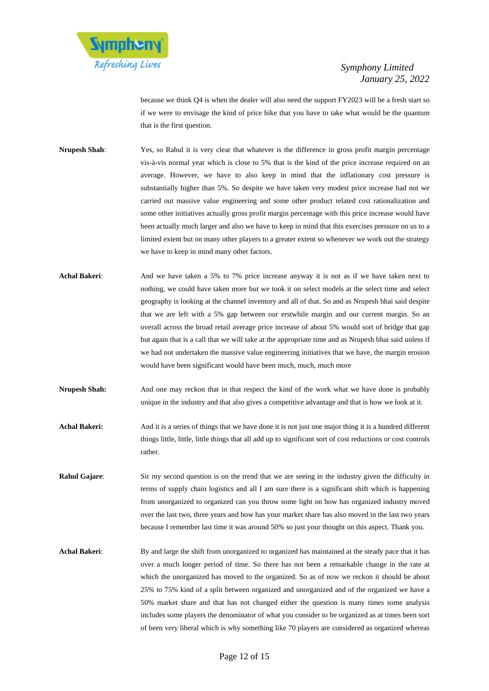

because we think Q4 is when the dealer will also need the support FY2023 will be a fresh start so if we were to envisage the kind of price hike that you have to take what would be the quantum that is the first question.

- **Nrupesh Shah**: Yes, so Rahul it is very clear that whatever is the difference in gross profit margin percentage vis-à-vis normal year which is close to 5% that is the kind of the price increase required on an average. However, we have to also keep in mind that the inflationary cost pressure is substantially higher than 5%. So despite we have taken very modest price increase had not we carried out massive value engineering and some other product related cost rationalization and some other initiatives actually gross profit margin percentage with this price increase would have been actually much larger and also we have to keep in mind that this exercises pressure on us to a limited extent but on many other players to a greater extent so whenever we work out the strategy we have to keep in mind many other factors.
- **Achal Bakeri**: And we have taken a 5% to 7% price increase anyway it is not as if we have taken next to nothing, we could have taken more but we took it on select models at the select time and select geography is looking at the channel inventory and all of that. So and as Nrupesh bhai said despite that we are left with a 5% gap between our erstwhile margin and our current margin. So an overall across the broad retail average price increase of about 5% would sort of bridge that gap but again that is a call that we will take at the appropriate time and as Nrupesh bhai said unless if we had not undertaken the massive value engineering initiatives that we have, the margin erosion would have been significant would have been much, much, much more
- **Nrupesh Shah:** And one may reckon that in that respect the kind of the work what we have done is probably unique in the industry and that also gives a competitive advantage and that is how we look at it.
- **Achal Bakeri:** And it is a series of things that we have done it is not just one major thing it is a hundred different things little, little, little things that all add up to significant sort of cost reductions or cost controls rather.
- **Rahul Gajare:** Sir my second question is on the trend that we are seeing in the industry given the difficulty in terms of supply chain logistics and all I am sure there is a significant shift which is happening from unorganized to organized can you throw some light on how has organized industry moved over the last two, three years and how has your market share has also moved in the last two years because I remember last time it was around 50% so just your thought on this aspect. Thank you.
- **Achal Bakeri**: By and large the shift from unorganized to organized has maintained at the steady pace that it has over a much longer period of time. So there has not been a remarkable change in the rate at which the unorganized has moved to the organized. So as of now we reckon it should be about 25% to 75% kind of a split between organized and unorganized and of the organized we have a 50% market share and that has not changed either the question is many times some analysis includes some players the denominator of what you consider to be organized as at times been sort of been very liberal which is why something like 70 players are considered as organized whereas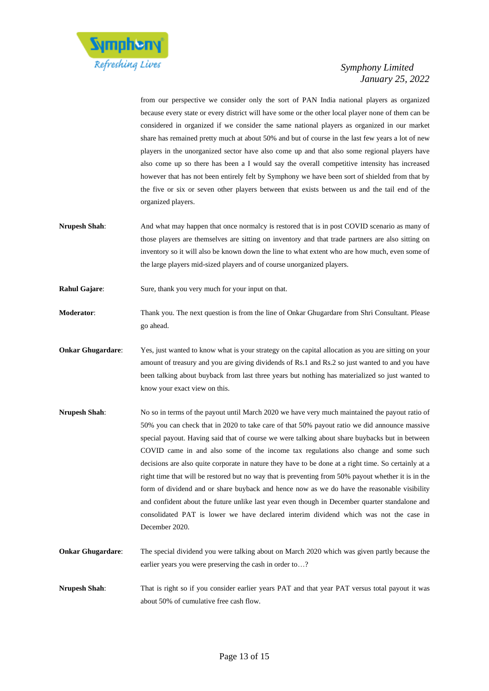

from our perspective we consider only the sort of PAN India national players as organized because every state or every district will have some or the other local player none of them can be considered in organized if we consider the same national players as organized in our market share has remained pretty much at about 50% and but of course in the last few years a lot of new players in the unorganized sector have also come up and that also some regional players have also come up so there has been a I would say the overall competitive intensity has increased however that has not been entirely felt by Symphony we have been sort of shielded from that by the five or six or seven other players between that exists between us and the tail end of the organized players.

- **Nrupesh Shah**: And what may happen that once normalcy is restored that is in post COVID scenario as many of those players are themselves are sitting on inventory and that trade partners are also sitting on inventory so it will also be known down the line to what extent who are how much, even some of the large players mid-sized players and of course unorganized players.
- **Rahul Gajare:** Sure, thank you very much for your input on that.

**Moderator**: Thank you. The next question is from the line of Onkar Ghugardare from Shri Consultant. Please go ahead.

- **Onkar Ghugardare:** Yes, just wanted to know what is your strategy on the capital allocation as you are sitting on your amount of treasury and you are giving dividends of Rs.1 and Rs.2 so just wanted to and you have been talking about buyback from last three years but nothing has materialized so just wanted to know your exact view on this.
- **Nrupesh Shah**: No so in terms of the payout until March 2020 we have very much maintained the payout ratio of 50% you can check that in 2020 to take care of that 50% payout ratio we did announce massive special payout. Having said that of course we were talking about share buybacks but in between COVID came in and also some of the income tax regulations also change and some such decisions are also quite corporate in nature they have to be done at a right time. So certainly at a right time that will be restored but no way that is preventing from 50% payout whether it is in the form of dividend and or share buyback and hence now as we do have the reasonable visibility and confident about the future unlike last year even though in December quarter standalone and consolidated PAT is lower we have declared interim dividend which was not the case in December 2020.
- **Onkar Ghugardare**: The special dividend you were talking about on March 2020 which was given partly because the earlier years you were preserving the cash in order to…?
- **Nrupesh Shah**: That is right so if you consider earlier years PAT and that year PAT versus total payout it was about 50% of cumulative free cash flow.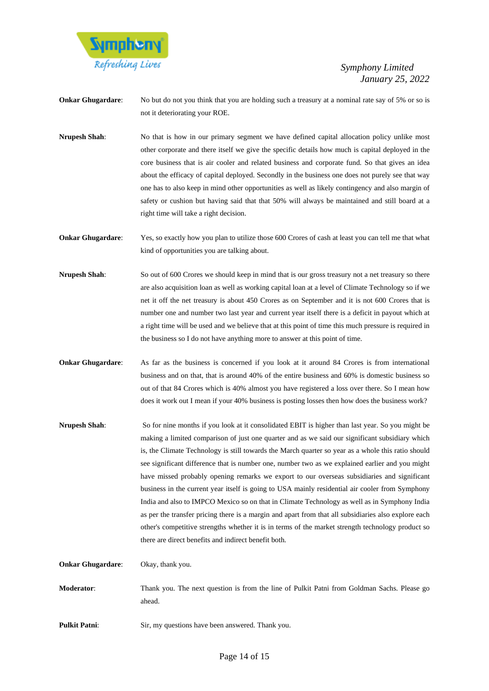

**Onkar Ghugardare:** No but do not you think that you are holding such a treasury at a nominal rate say of 5% or so is not it deteriorating your ROE.

**Nrupesh Shah**: No that is how in our primary segment we have defined capital allocation policy unlike most other corporate and there itself we give the specific details how much is capital deployed in the core business that is air cooler and related business and corporate fund. So that gives an idea about the efficacy of capital deployed. Secondly in the business one does not purely see that way one has to also keep in mind other opportunities as well as likely contingency and also margin of safety or cushion but having said that that 50% will always be maintained and still board at a right time will take a right decision.

**Onkar Ghugardare:** Yes, so exactly how you plan to utilize those 600 Crores of cash at least you can tell me that what kind of opportunities you are talking about.

- **Nrupesh Shah:** So out of 600 Crores we should keep in mind that is our gross treasury not a net treasury so there are also acquisition loan as well as working capital loan at a level of Climate Technology so if we net it off the net treasury is about 450 Crores as on September and it is not 600 Crores that is number one and number two last year and current year itself there is a deficit in payout which at a right time will be used and we believe that at this point of time this much pressure is required in the business so I do not have anything more to answer at this point of time.
- **Onkar Ghugardare:** As far as the business is concerned if you look at it around 84 Crores is from international business and on that, that is around 40% of the entire business and 60% is domestic business so out of that 84 Crores which is 40% almost you have registered a loss over there. So I mean how does it work out I mean if your 40% business is posting losses then how does the business work?
- **Nrupesh Shah**: So for nine months if you look at it consolidated EBIT is higher than last year. So you might be making a limited comparison of just one quarter and as we said our significant subsidiary which is, the Climate Technology is still towards the March quarter so year as a whole this ratio should see significant difference that is number one, number two as we explained earlier and you might have missed probably opening remarks we export to our overseas subsidiaries and significant business in the current year itself is going to USA mainly residential air cooler from Symphony India and also to IMPCO Mexico so on that in Climate Technology as well as in Symphony India as per the transfer pricing there is a margin and apart from that all subsidiaries also explore each other's competitive strengths whether it is in terms of the market strength technology product so there are direct benefits and indirect benefit both.

**Onkar Ghugardare:** Okay, thank you.

- **Moderator**: Thank you. The next question is from the line of Pulkit Patni from Goldman Sachs. Please go ahead.
- **Pulkit Patni:** Sir, my questions have been answered. Thank you.